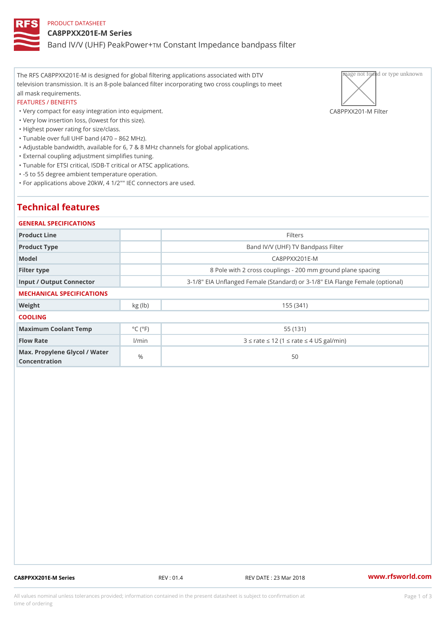### PRODUCT DATASHEET CA8PPXX201E-M Series Band IV/V (UHF) PeakCPonwstamt Impedance bandpass filter

The RFS CA8PPXX201E-M is designed for global filtering applications assocted with a proportion of the N television transmission. It is an 8-pole balanced filter incorporating two cross couplings to meet all mask requirements. FEATURES / BENEFITS

"Very compact for easy integration into equipment.

"Very low insertion loss, (lowest for this size).

"Highest power rating for size/class.

"Tunable over full UHF band (470 862 MHz).

"Adjustable bandwidth, available for 6, 7 & 8 MHz channels for global applications.

"External coupling adjustment simplifies tuning.

"Tunable for ETSI critical, ISDB-T critical or ATSC applications.

"-5 to 55 degree ambient temperature operation.

"For applications above 20kW, 4 1/2"" IEC connectors are used.

#### Technical features

## GENERAL SPECIFICATIONS Product Line **Filters** Product Type **Band IV/V (UHF) TV Bandpass Filter** Model CA8PPXX201E-M Filter type **8 Pole with 2 cross couplings - 200 mm ground plane s** Input / Output Connector | 3-1/8" EIA Unflanged Female (Standard) or 3-1/8" EIA Flang MECHANICAL SPECIFICATIONS Weight kg (lb) kg (lb) 155 (341) COOLING Maximum Coolant Temp °C (°F) 55 (131) Flow Rate **19 Telem** 1/min **1.1 Teleman 2 12 12 12 12 13 "d rate "d 12 (1 "d rate "d 4 US gal/min)** Max. Propylene Glycol / Water Concentration  $\frac{3}{2}$  50

CA8PPXX201E-M Series REV : 01.4 REV DATE : 23 Mar 2018 [www.](https://www.rfsworld.com)rfsworld.com

CA8PPXX201-M Filter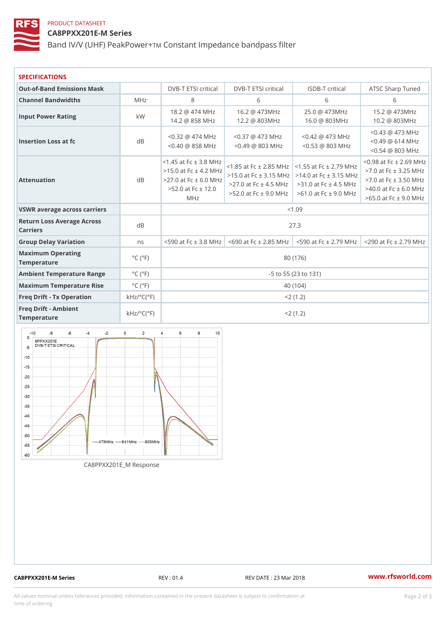### PRODUCT DATASHEET CA8PPXX201E-M Series Band IV/V (UHF) PeakCPonwstamt Impedance bandpass filter

| <b>SPECIFICATIONS</b>                                       |                                         |                                                                                                                                                                                                                                                                                                                                                                                                                                                                               |      |
|-------------------------------------------------------------|-----------------------------------------|-------------------------------------------------------------------------------------------------------------------------------------------------------------------------------------------------------------------------------------------------------------------------------------------------------------------------------------------------------------------------------------------------------------------------------------------------------------------------------|------|
| Out-of-Band Emissions Mask                                  |                                         | DVB-T ETSI dritDd/aB-T ETSI criticla9DB-T criticalATSC Sharp Tuned                                                                                                                                                                                                                                                                                                                                                                                                            |      |
| Channel Bandwidths                                          | $M$ H z                                 | 8<br>6<br>6<br>6                                                                                                                                                                                                                                                                                                                                                                                                                                                              |      |
| Input Power Rating                                          | k W                                     | 474 MHz16.2 @ 473MHz 25.0 @ 473MHz 15.2 @ 473MHz<br>$\circleda$<br>18.2<br>14.2 @ 858 MHz12.2 @ 803MHz 16.0 @ 803MHz 10.2 @ 803MHz                                                                                                                                                                                                                                                                                                                                            |      |
| Insertion Loss at fc                                        | $d \, B$                                | @<br><0.32 @ 474 MHz20.37 @ 473 MHz0.42 @ 473 MHz <sup>0.43</sup><br>473 MHz<br>614 MHz<br>$< 0.40$ @ 858 MHz0.49 @ 803 MHz0.53 @ 803 MHz <sub>2</sub> -<br>$\omega$<br>$50.54 \& 803 MHz$                                                                                                                                                                                                                                                                                    |      |
| Attenuation                                                 | d B                                     | $< 1.45$ at Fc $\pm$ 3<br>$198$ at Fc $\pm$ 2 69<br>. 8<br>MHz<br>$\frac{14}{5}$ at Fc ± 2.85.5M5H at Fc ± 2.79<br>$>15.0$ at Fc $\pm$ 4<br>at $Fc \pm$<br>3.125<br>.0 at<br>M∫Hz<br> Hz<br>.0. at Fс ± 3.≯\$4MCHat Fс ±<br>$3.\overrightarrow{1}$<br>5<br>$>27.0$ at Fc $\pm$ 6.0<br>at $Fc \pm 3.50$<br>$\overline{5}$<br>$>27.0$ at Fc $\pm$ 4.53MHDz at Fc $\pm$ 12.0<br>>52.0 at Fc $\pm$<br>at Fc<br>$>52.0$ at Fc $\pm$ 9.96MHDz at Fc $\pm$<br>MHz<br>at $Fc \pm 9.0$ | 6. 0 |
| VSWR average across carriers                                |                                         | < 1.09                                                                                                                                                                                                                                                                                                                                                                                                                                                                        |      |
| Return Loss Average Across<br>Carriers                      |                                         | 27.3                                                                                                                                                                                                                                                                                                                                                                                                                                                                          |      |
| Group Delay Variation                                       | n s                                     | <590 at Fc $\pm$ 3.466.900Hzat Fc $\pm$ 2 8-55.900Hzat Fc $\pm$ 2 7-92.900Hzat Fc $\pm$ 2.79                                                                                                                                                                                                                                                                                                                                                                                  |      |
| Maximum Operating<br>Temperature                            | $^{\circ}$ C ( $^{\circ}$ F             | 80 (176)                                                                                                                                                                                                                                                                                                                                                                                                                                                                      |      |
| Ambient Temperature RangeC (°F                              |                                         | $-5$ to $55$ (23 to 131)                                                                                                                                                                                                                                                                                                                                                                                                                                                      |      |
| Maximum Temperature Rise C (°F                              |                                         | 40 (104)                                                                                                                                                                                                                                                                                                                                                                                                                                                                      |      |
| Freq Drift - Tx Operation $kHz$ $^{\circ}C$ ( $^{\circ}F$ ) |                                         | $< 2$ (1.2)                                                                                                                                                                                                                                                                                                                                                                                                                                                                   |      |
| Freg Drift - Ambient<br>Temperature                         | $k$ H z $/$ $\circ$ C $($ $\circ$ F $)$ | $< 2$ (1.2)                                                                                                                                                                                                                                                                                                                                                                                                                                                                   |      |

CA8PPXX201E\_M Response

CA8PPXX201E-M Series REV : 01.4 REV DATE : 23 Mar 2018 [www.](https://www.rfsworld.com)rfsworld.com